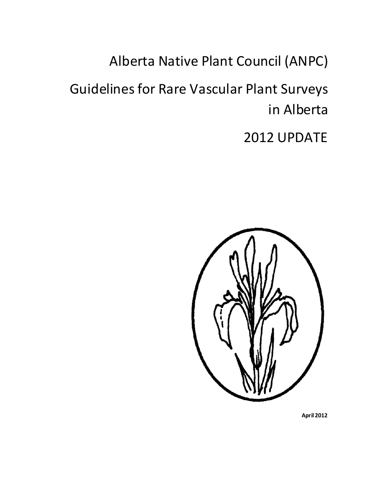Alberta Native Plant Council (ANPC)

Guidelines for Rare Vascular Plant Surveys in Alberta

2012 UPDATE



**April 2012**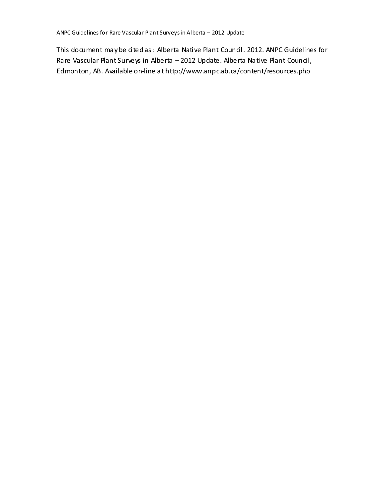This document may be cited as: Alberta Native Plant Council. 2012. ANPC Guidelines for Rare Vascular Plant Surveys in Alberta – 2012 Update. Alberta Native Plant Council, Edmonton, AB. Available on-line at http://www.anpc.ab.ca/content/resources.php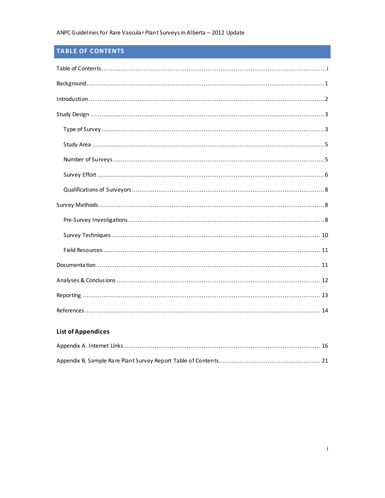# <span id="page-2-0"></span>TABLE OF CONTENTS

| Introduction 2 |
|----------------|
|                |
|                |
|                |
|                |
|                |
|                |
|                |
|                |
|                |
|                |
|                |
|                |
|                |
|                |

# **List of Appendices**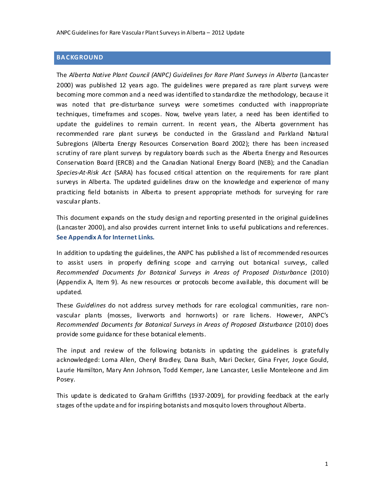## <span id="page-3-0"></span>**BA CKGROUND**

The *Alberta Native Plant Council (ANPC) Guidelines for Rare Plant Surveys in Alberta* (Lancaster 2000) was published 12 years ago. The guidelines were prepared as rare plant surveys were becoming more common and a need was identified to standardize the methodology, because it was noted that pre-disturbance surveys were sometimes conducted with inappropriate techniques, timeframes and scopes. Now, twelve years later, a need has been identified to update the guidelines to remain current. In recent years, the Alberta government has recommended rare plant surveys be conducted in the Grassland and Parkland Natural Subregions (Alberta Energy Resources Conservation Board 2002); there has been increased scrutiny of rare plant surveys by regulatory boards such as the Alberta Energy and Resources Conservation Board (ERCB) and the Canadian National Energy Board (NEB); and the Canadian *Species-At-Risk Act* (SARA) has focused critical attention on the requirements for rare plant surveys in Alberta. The updated guidelines draw on the knowledge and experience of many practicing field botanists in Alberta to present appropriate methods for surveying for rare vascular plants.

This document expands on the study design and reporting presented in the original guidelines (Lancaster 2000), and also provides current internet links to useful publications and references. **See Appendix A for Internet Links.**

In addition to updating the guidelines, the ANPC has published a list of recommended resources to assist users in properly defining scope and carrying out botanical surveys, called *Recommended Documents for Botanical Surveys in Areas of Proposed Disturbance* (2010) (Appendix A, Item 9). As new resources or protocols become available, this document will be updated.

These *Guidelines* do not address survey methods for rare ecological communities, rare nonvascular plants (mosses, liverworts and hornworts) or rare lichens. However, ANPC's *Recommended Documents for Botanical Surveys in Areas of Proposed Disturbance* (2010) does provide some guidance for these botanical elements.

The input and review of the following botanists in updating the guidelines is gratefully acknowledged: Lorna Allen, Cheryl Bradley, Dana Bush, Mari Decker, Gina Fryer, Joyce Gould, Laurie Hamilton, Mary Ann Johnson, Todd Kemper, Jane Lancaster, Leslie Monteleone and Jim Posey.

This update is dedicated to Graham Griffiths (1937-2009), for providing feedback at the early stages of the update and for inspiring botanists and mosquito lovers throughout Alberta.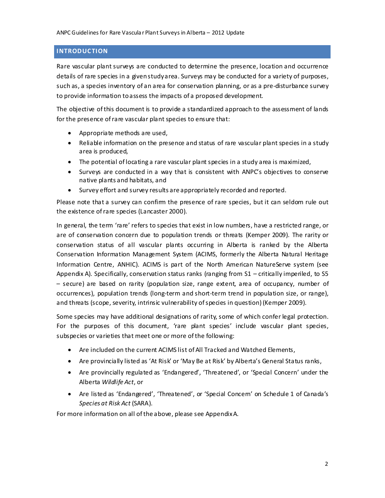## <span id="page-4-0"></span>**INTRODUCTION**

Rare vascular plant surveys are conducted to determine the presence, location and occurrence details of rare species in a givenstudyarea. Surveys may be conducted for a variety of purposes, such as, a species inventory of an area for conservation planning, or as a pre-disturbance survey to provide information toassess the impacts of a proposed development.

The objective ofthis document is to provide a standardized approach to the assessment of lands for the presence of rare vascular plant species to ensure that:

- Appropriate methods are used,
- Reliable information on the presence and status of rare vascular plant species in a study area is produced,
- The potential of locating a rare vascular plant species in a study area is maximized,
- Surveys are conducted in a way that is consistent with ANPC's objectives to conserve native plants and habitats, and
- Survey effort and survey results are appropriately recorded and reported.

Please note that a survey can confirm the presence of rare species, but it can seldom rule out the existence of rare species (Lancaster 2000).

In general, the term 'rare' refers to species that exist in low numbers, have a restricted range, or are of conservation concern due to population trends or threats (Kemper 2009). The rarity or conservation status of all vascular plants occurring in Alberta is ranked by the Alberta Conservation Information Management System (ACIMS, formerly the Alberta Natural Heritage Information Centre, ANHIC). ACIMS is part of the North American NatureServe system (see Appendix A). Specifically, conservation status ranks (ranging from S1 – critically imperiled, to S5 – secure) are based on rarity (population size, range extent, area of occupancy, number of occurrences), population trends (long-term and short-term trend in population size, or range), and threats (scope, severity, intrinsic vulnerability of species in question) (Kemper 2009).

Some species may have additional designations of rarity, some of which confer legal protection. For the purposes of this document, 'rare plant species' include vascular plant species, subspecies or varieties that meet one or more of the following:

- Are included on the current ACIMS list of All Tracked and Watched Elements,
- Are provincially listed as 'At Risk' or 'May Be at Risk' by Alberta's General Status ranks,
- Are provincially regulated as 'Endangered', 'Threatened', or 'Special Concern' under the Alberta *Wildlife Act*, or
- Are listed as 'Endangered', 'Threatened', or 'Special Concern' on Schedule 1 of Canada's *Species at Risk Act* (SARA).

For more information on all of the above, please see AppendixA.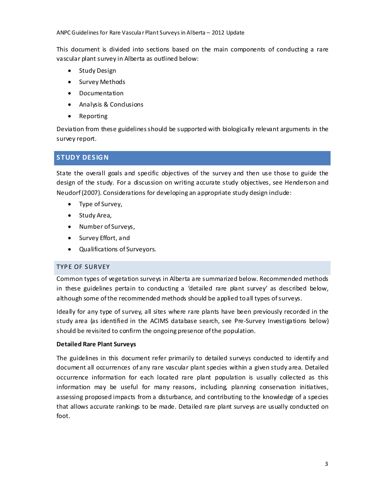This document is divided into sections based on the main components of conducting a rare vascular plant survey in Alberta as outlined below:

- Study Design
- **•** Survey Methods
- Documentation
- Analysis & Conclusions
- Reporting

Deviation from these guidelinesshould be supported with biologically relevant arguments in the survey report.

# <span id="page-5-0"></span>**STUD Y DESIG N**

State the overall goals and specific objectives of the survey and then use those to guide the design of the study. For a discussion on writing accurate study objectives, see Henderson and Neudorf (2007). Considerations for developing an appropriate study design include:

- Type of Survey,
- Study Area,
- Number of Surveys,
- Survey Effort, and
- Qualifications of Surveyors.

# <span id="page-5-1"></span>TYPE OF SURVEY

Common types of vegetation surveys in Alberta are summarized below. Recommended methods in these guidelines pertain to conducting a 'detailed rare plant survey' as described below, although some of the recommended methods should be applied toall types of surveys.

Ideally for any type of survey, all sites where rare plants have been previously recorded in the study area (as identified in the ACIMS database search, see Pre-Survey Investigations below) should be revisited to confirm the ongoing presence of the population.

## **Detailed Rare Plant Surveys**

The guidelines in this document refer primarily to detailed surveys conducted to identify and document all occurrences of any rare vascular plant species within a given study area. Detailed occurrence information for each located rare plant population is usually collected as this information may be useful for many reasons, including, planning conservation initiatives, assessing proposed impacts from a disturbance, and contributing to the knowledge of a species that allows accurate rankings to be made. Detailed rare plant surveys are usually conducted on foot.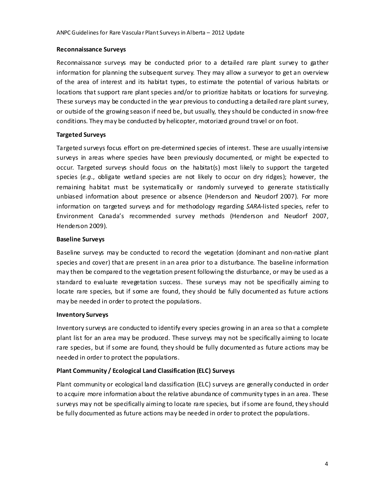#### **Reconnaissance Surveys**

Reconnaissance surveys may be conducted prior to a detailed rare plant survey to gather information for planning the subsequent survey. They may allow a surveyor to get an overview of the area of interest and its habitat types, to estimate the potential of various habitats or locations that support rare plant species and/or to prioritize habitats or locations for surveying. These surveys may be conducted in the year previous to conducting a detailed rare plant survey, or outside of the growing season if need be, but usually, they should be conducted in snow-free conditions. They may be conducted by helicopter, motorized ground travel or on foot.

## **Targeted Surveys**

Targeted surveys focus effort on pre-determined species of interest. These are usually intensive surveys in areas where species have been previously documented, or might be expected to occur. Targeted surveys should focus on the habitat(s) most likely to support the targeted species (*e.g*., obligate wetland species are not likely to occur on dry ridges); however, the remaining habitat must be systematically or randomly surveyed to generate statistically unbiased information about presence or absence (Henderson and Neudorf 2007). For more information on targeted surveys and for methodology regarding *SARA*-listed species, refer to Environment Canada's recommended survey methods (Henderson and Neudorf 2007, Henderson 2009).

## **Baseline Surveys**

Baseline surveys may be conducted to record the vegetation (dominant and non-native plant species and cover) that are present in an area prior to a disturbance. The baseline information may then be compared to the vegetation present following the disturbance, or may be used as a standard to evaluate revegetation success. These surveys may not be specifically aiming to locate rare species, but if some are found, they should be fully documented as future actions may be needed in order to protect the populations.

## **Inventory Surveys**

Inventory surveys are conducted to identify every species growing in an area so that a complete plant list for an area may be produced. These surveys may not be specifically aiming to locate rare species, but if some are found, they should be fully documented as future actions may be needed in order to protect the populations.

## **Plant Community / Ecological Land Classification (ELC) Surveys**

Plant community or ecological land classification (ELC) surveys are generally conducted in order to acquire more information about the relative abundance of community types in an area. These surveys may not be specifically aiming to locate rare species, but if some are found, they should be fully documented as future actions may be needed in order to protect the populations.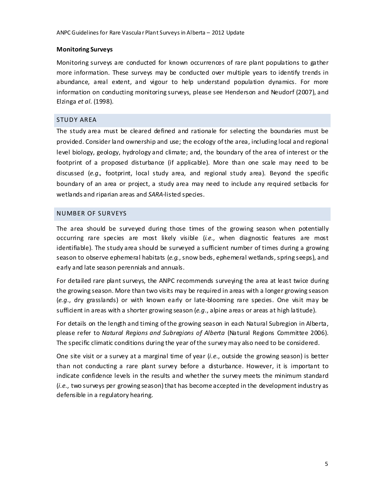#### **Monitoring Surveys**

Monitoring surveys are conducted for known occurrences of rare plant populations to gather more information. These surveys may be conducted over multiple years to identify trends in abundance, areal extent, and vigour to help understand population dynamics. For more information on conducting monitoring surveys, please see Henderson and Neudorf (2007), and Elzinga *et al.* (1998).

#### <span id="page-7-0"></span>STUDY AREA

The study area must be cleared defined and rationale for selecting the boundaries must be provided. Consider land ownership and use; the ecology ofthe area, including local and regional level biology, geology, hydrology and climate; and, the boundary of the area of interest or the footprint of a proposed disturbance (if applicable). More than one scale may need to be discussed (*e.g.,* footprint, local study area, and regional study area). Beyond the specific boundary of an area or project, a study area may need to include any required setbacks for wetlands and riparian areas and *SARA*-listed species.

#### <span id="page-7-1"></span>NUMBER OF SURVEYS

The area should be surveyed during those times of the growing season when potentially occurring rare species are most likely visible (*i.e*., when diagnostic features are most identifiable). The study area should be surveyed a sufficient number of times during a growing season to observe ephemeral habitats (*e.g.*, snow beds, ephemeral wetlands, spring seeps), and early and late season perennials and annuals.

For detailed rare plant surveys, the ANPC recommends surveying the area at least twice during the growing season. More than two visits may be required in areas with a longer growing season (*e.g*., dry grasslands) or with known early or late-blooming rare species. One visit may be sufficient in areas with a shorter growing season (*e.g*., alpine areas or areas at high latitude).

For details on the length and timing ofthe growing season in each Natural Subregion in Alberta, please refer to *Natural Regions and Subregions of Alberta* (Natural Regions Committee 2006). The specific climatic conditions during the year of the survey may also need to be considered.

One site visit or a survey at a marginal time of year (*i.e*., outside the growing season) is better than not conducting a rare plant survey before a disturbance. However, it is important to indicate confidence levels in the results and whether the survey meets the minimum standard (*i.e*., two surveys per growing season) that has become accepted in the development industry as defensible in a regulatory hearing.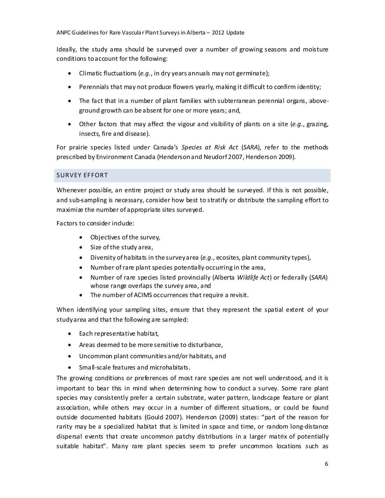Ideally, the study area should be surveyed over a number of growing seasons and moisture conditions toaccount for the following:

- Climatic fluctuations (*e.g*., in dry years annuals may not germinate);
- Perennials that may not produce flowers yearly, making it difficult to confirm identity;
- The fact that in a number of plant families with subterranean perennial organs, aboveground growth can be absent for one or more years; and,
- Other factors that may affect the vigour and visibility of plants on a site (*e.g*., grazing, insects, fire and disease).

For prairie species listed under Canada's *Species at Risk Act* (*SARA*), refer to the methods prescribed by Environment Canada (Hendersonand Neudorf 2007, Henderson 2009).

## <span id="page-8-0"></span>SURVEY EFFORT

Whenever possible, an entire project or study area should be surveyed. If this is not possible, and sub-sampling is necessary, consider how best to stratify or distribute the sampling effort to maximize the number of appropriate sites surveyed.

Factors to consider include:

- Objectives of the survey,
- Size of the study area,
- Diversity of habitats in the surveyarea (*e.g*., ecosites, plant community types),
- Number of rare plant species potentially occurring in the area,
- Number of rare species listed provincially (Alberta *Wildlife Act*) or federally (*SARA*) whose range overlaps the survey area, and
- The number of ACIMS occurrences that require a revisit.

When identifying your sampling sites, ensure that they represent the spatial extent of your studyarea and that the following are sampled:

- Each representative habitat,
- Areas deemed to be more sensitive to disturbance,
- Uncommon plant communities and/or habitats, and
- Small-scale features and microhabitats.

The growing conditions or preferences of most rare species are not well understood, and it is important to bear this in mind when determining how to conduct a survey. Some rare plant species may consistently prefer a certain substrate, water pattern, landscape feature or plant association, while others may occur in a number of different situations, or could be found outside documented habitats (Gould 2007). Henderson (2009) states: "part of the reason for rarity may be a specialized habitat that is limited in space and time, or random long-distance dispersal events that create uncommon patchy distributions in a larger matrix of potentially suitable habitat". Many rare plant species seem to prefer uncommon locations such as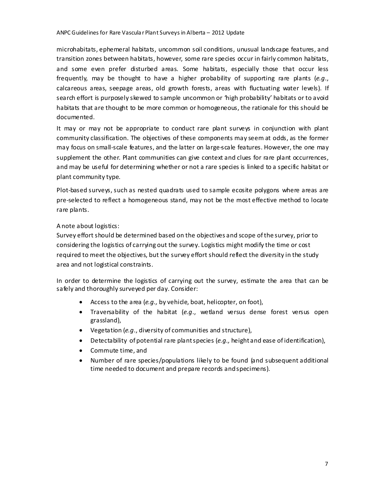microhabitats, ephemeral habitats, uncommon soil conditions, unusual landscape features, and transition zones between habitats, however, some rare species occur in fairly common habitats, and some even prefer disturbed areas. Some habitats, especially those that occur less frequently, may be thought to have a higher probability of supporting rare plants (*e.g*., calcareous areas, seepage areas, old growth forests, areas with fluctuating water levels). If search effort is purposely skewed to sample uncommon or 'high probability' habitats or to avoid habitats that are thought to be more common or homogeneous, the rationale for this should be documented.

It may or may not be appropriate to conduct rare plant surveys in conjunction with plant community classification. The objectives of these components may seem at odds, as the former may focus on small-scale features, and the latter on large-scale features. However, the one may supplement the other. Plant communities can give context and clues for rare plant occurrences, and may be useful for determining whether or not a rare species is linked to a specific habitat or plant community type.

Plot-based surveys, such as nested quadrats used to sample ecosite polygons where areas are pre-selected to reflect a homogeneous stand, may not be the most effective method to locate rare plants.

## A note about logistics:

Survey effort should be determined based on the objectives and scope of the survey, prior to considering the logistics of carrying out the survey. Logistics might modify the time or cost required to meet the objectives, but the survey effort should reflect the diversity in the study area and not logistical constraints.

In order to determine the logistics of carrying out the survey, estimate the area that can be safely and thoroughly surveyed per day. Consider:

- Access to the area (*e.g.,* by vehicle, boat, helicopter, on foot),
- Traversability of the habitat (*e.g*., wetland versus dense forest versus open grassland),
- Vegetation (*e.g*., diversity of communities and structure),
- Detectability of potential rare plantspecies (*e.g.,* height and ease of identification),
- Commute time, and
- Number of rare species/populations likely to be found (and subsequent additional time needed to document and prepare records andspecimens).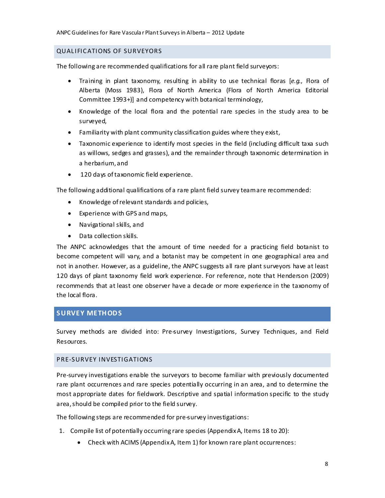## <span id="page-10-0"></span>QUALIFICATIONS OF SURVEYORS

The following are recommended qualifications for all rare plant field surveyors:

- Training in plant taxonomy, resulting in ability to use technical floras [*e.g.,* Flora of Alberta (Moss 1983), Flora of North America (Flora of North America Editorial Committee 1993+)] and competency with botanical terminology,
- Knowledge of the local flora and the potential rare species in the study area to be surveyed,
- Familiarity with plant community classification guides where they exist,
- Taxonomic experience to identify most species in the field (including difficult taxa such as willows, sedges and grasses), and the remainder through taxonomic determination in a herbarium,and
- 120 days of taxonomic field experience.

The following additional qualifications of a rare plant field survey teamare recommended:

- Knowledge of relevant standards and policies,
- Experience with GPS and maps,
- Navigational skills, and
- Data collection skills.

The ANPC acknowledges that the amount of time needed for a practicing field botanist to become competent will vary, and a botanist may be competent in one geographical area and not in another. However, as a guideline, the ANPC suggests all rare plant surveyors have at least 120 days of plant taxonomy field work experience. For reference, note that Henderson (2009) recommends that at least one observer have a decade or more experience in the taxonomy of the local flora.

# <span id="page-10-1"></span>**SURVEY METH OD S**

Survey methods are divided into: Pre-survey Investigations, Survey Techniques, and Field Resources.

## <span id="page-10-2"></span>PRE-SURVEY INVESTIGATIONS

Pre-survey investigations enable the surveyors to become familiar with previously documented rare plant occurrences and rare species potentially occurring in an area, and to determine the most appropriate dates for fieldwork. Descriptive and spatial information specific to the study area, should be compiled prior to the field survey.

The following steps are recommended for pre-survey investigations:

- 1. Compile list of potentially occurring rare species (AppendixA, Items 18 to 20):
	- Check with ACIMS (AppendixA, Item 1) for known rare plant occurrences: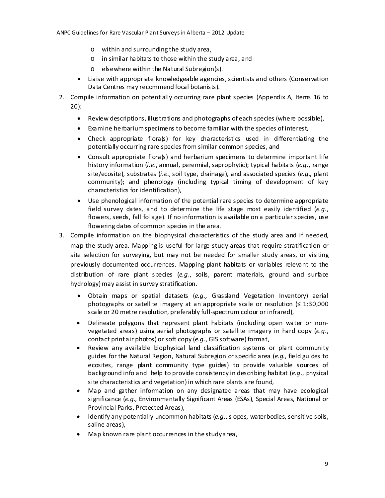- o within and surrounding the study area,
- o in similar habitats to those within the study area, and
- o elsewhere within the Natural Subregion(s).
- Liaise with appropriate knowledgeable agencies, scientists and others (Conservation Data Centres may recommend local botanists).
- 2. Compile information on potentially occurring rare plant species (Appendix A, Items 16 to 20):
	- Review descriptions, illustrations and photographs of each species (where possible),
	- Examine herbariumspecimens to become familiar with the species of interest,
	- Check appropriate flora(s) for key characteristics used in differentiating the potentially occurring rare species from similar common species, and
	- Consult appropriate flora(s) and herbarium specimens to determine important life history information (*i.e*., annual, perennial, saprophytic); typical habitats (*e.g.*, range site/ecosite), substrates (*i.e*., soil type, drainage), and associated species (*e.g.*, plant community); and phenology (including typical timing of development of key characteristics for identification),
	- Use phenological information of the potential rare species to determine appropriate field survey dates, and to determine the life stage most easily identified (*e.g*., flowers, seeds, fall foliage). If no information is available on a particular species, use flowering dates of common species in the area.
- 3. Compile information on the biophysical characteristics of the study area and if needed, map the study area. Mapping is useful for large study areas that require stratification or site selection for surveying, but may not be needed for smaller study areas, or visiting previously documented occurrences. Mapping plant habitats or variables relevant to the distribution of rare plant species (*e.g*., soils, parent materials, ground and surface hydrology) may assist in survey stratification.
	- Obtain maps or spatial datasets (*e.g.,* Grassland Vegetation Inventory) aerial photographs or satellite imagery at an appropriate scale or resolution ( $\leq 1:30,000$ ) scale or 20 metre resolution, preferably full-spectrum colour or infrared),
	- Delineate polygons that represent plant habitats (including open water or nonvegetated areas) using aerial photographs or satellite imagery in hard copy (*e.g*., contact print air photos) or soft copy (*e.g*., GIS software) format,
	- Review any available biophysical land classification systems or plant community guides for the Natural Region, Natural Subregion or specific area (*e.g*., field guides to ecosites, range plant community type guides) to provide valuable sources of background info and help to provide consistency in describing habitat (*e.g*., physical site characteristics and vegetation) in which rare plants are found,
	- Map and gather information on any designated areas that may have ecological significance (*e.g*., Environmentally Significant Areas (ESAs), Special Areas, National or Provincial Parks, Protected Areas),
	- Identify any potentially uncommon habitats (*e.g*., slopes, waterbodies, sensitive soils, saline areas),
	- Map known rare plant occurrences in the studyarea,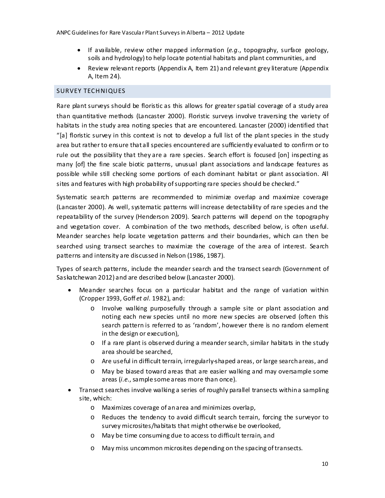- If available, review other mapped information (*e.g*., topography, surface geology, soils and hydrology) to help locate potential habitats and plant communities, and
- Review relevant reports (Appendix A, Item 21) and relevant grey literature (Appendix A, Item 24).

#### <span id="page-12-0"></span>SURVEY TECHNIQUES

Rare plant surveys should be floristic as this allows for greater spatial coverage of a study area than quantitative methods (Lancaster 2000). Floristic surveys involve traversing the variety of habitats in the study area noting species that are encountered. Lancaster (2000) identified that "[a] floristic survey in this context is not to develop a full list of the plant species in the study area but rather to ensure that all species encountered are sufficiently evaluated to confirm or to rule out the possibility that they are a rare species. Search effort is focused [on] inspecting as many [of] the fine scale biotic patterns, unusual plant associations and landscape features as possible while still checking some portions of each dominant habitat or plant association. All sites and features with high probability of supporting rare species should be checked."

Systematic search patterns are recommended to minimize overlap and maximize coverage (Lancaster 2000). As well, systematic patterns will increase detectability of rare species and the repeatability of the survey (Henderson 2009). Search patterns will depend on the topography and vegetation cover. A combination of the two methods, described below, is often useful. Meander searches help locate vegetation patterns and their boundaries, which can then be searched using transect searches to maximize the coverage of the area of interest. Search patterns and intensity are discussed in Nelson (1986, 1987).

Types of search patterns, include the meander search and the transect search (Government of Saskatchewan 2012) and are described below (Lancaster 2000).

- Meander searches focus on a particular habitat and the range of variation within (Cropper 1993, Goff *et al.* 1982), and:
	- o Involve walking purposefully through a sample site or plant association and noting each new species until no more new species are observed (often this search pattern is referred to as 'random', however there is no random element in the design or execution),
	- $\circ$  If a rare plant is observed during a meander search, similar habitats in the study area should be searched,
	- o Are useful in difficult terrain, irregularly-shaped areas, or large searchareas, and
	- o May be biased toward areas that are easier walking and may oversample some areas (*i.e*., sample some areas more than once).
- Transect searches involve walking a series of roughly parallel transects withina sampling site, which:
	- o Maximizes coverage of anarea and minimizes overlap,
	- o Reduces the tendency to avoid difficult search terrain, forcing the surveyor to survey microsites/habitats that might otherwise be overlooked,
	- o May be time consuming due to access to difficult terrain, and
	- o May miss uncommon microsites depending on the spacing of transects.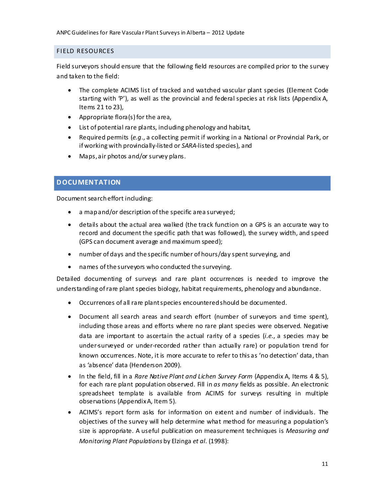## <span id="page-13-0"></span>FIELD RESOURCES

Field surveyors should ensure that the following field resources are compiled prior to the survey and taken to the field:

- The complete ACIMS list of tracked and watched vascular plant species (Element Code starting with 'P'), as well as the provincial and federal species at risk lists (Appendix A, Items 21 to 23),
- Appropriate flora(s) for the area,
- List of potential rare plants, including phenology and habitat,
- Required permits (*e.g*., a collecting permit if working in a National or Provincial Park, or if working with provincially-listed or *SARA*-listed species), and
- Maps, air photos and/or survey plans.

# <span id="page-13-1"></span>**D OCUMENTATION**

Document searcheffort including:

- a mapand/or description of the specific area surveyed;
- details about the actual area walked (the track function on a GPS is an accurate way to record and document the specific path that was followed), the survey width, and speed (GPS can document average and maximum speed);
- number of days and the specific number of hours/day spent surveying, and
- names of the surveyors who conducted the surveying.

Detailed documenting of surveys and rare plant occurrences is needed to improve the understanding of rare plant species biology, habitat requirements, phenology and abundance.

- Occurrences of all rare plantspecies encounteredshould be documented.
- Document all search areas and search effort (number of surveyors and time spent), including those areas and efforts where no rare plant species were observed. Negative data are important to ascertain the actual rarity of a species (*i.e*., a species may be under-surveyed or under-recorded rather than actually rare) or population trend for known occurrences. Note, it is more accurate to refer to this as 'no detection' data, than as 'absence' data (Henderson 2009).
- In the field, fill in a *Rare Native Plant and Lichen Survey Form* (Appendix A, Items 4 & 5), for each rare plant population observed. Fill in *as many* fields as possible. An electronic spreadsheet template is available from ACIMS for surveys resulting in multiple observations (AppendixA, Item 5).
- ACIMS's report form asks for information on extent and number of individuals. The objectives of the survey will help determine what method for measuring a population's size is appropriate. A useful publication on measurement techniques is *Measuring and Monitoring Plant Populations* by Elzinga *et al.* (1998):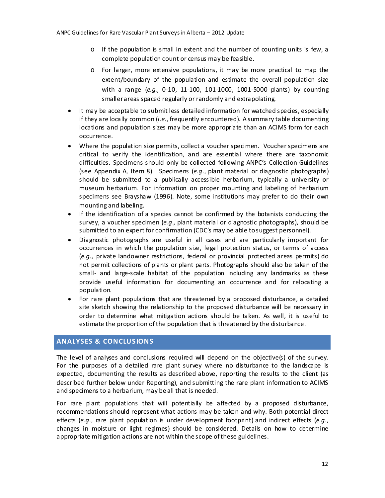- $\circ$  If the population is small in extent and the number of counting units is few, a complete population count or census may be feasible.
- o For larger, more extensive populations, it may be more practical to map the extent/boundary of the population and estimate the overall population size with a range (*e.g*., 0-10, 11-100, 101-1000, 1001-5000 plants) by counting smallerareas spaced regularly or randomly and extrapolating.
- It may be acceptable to submit less detailed information for watched species, especially if they are locally common (*i.e*., frequently encountered). A summary table documenting locations and population sizes may be more appropriate than an ACIMS form for each occurrence.
- Where the population size permits, collect a voucher specimen. Voucher specimens are critical to verify the identification, and are essential where there are taxonomic difficulties. Specimens should only be collected following ANPC's Collection Guidelines (see Appendix A, Item 8). Specimens (*e.g*., plant material or diagnostic photographs) should be submitted to a publically accessible herbarium, typically a university or museum herbarium. For information on proper mounting and labeling of herbarium specimens see Brayshaw (1996). Note, some institutions may prefer to do their own mounting and labeling.
- If the identification of a species cannot be confirmed by the botanists conducting the survey, a voucher specimen (*e.g*., plant material or diagnostic photographs), should be submitted to an expert for confirmation (CDC's may be able tosuggest personnel).
- Diagnostic photographs are useful in all cases and are particularly important for occurrences in which the population size, legal protection status, or terms of access (*e.g.,* private landowner restrictions, federal or provincial protected areas permits) do not permit collections of plants or plant parts. Photographs should also be taken of the small- and large-scale habitat of the population including any landmarks as these provide useful information for documenting an occurrence and for relocating a population.
- For rare plant populations that are threatened by a proposed disturbance, a detailed site sketch showing the relationship to the proposed disturbance will be necessary in order to determine what mitigation actions should be taken. As well, it is useful to estimate the proportion of the population that is threatened by the disturbance.

# <span id="page-14-0"></span>**ANALYSES & CONCLUSIONS**

The level of analyses and conclusions required will depend on the objective(s) of the survey. For the purposes of a detailed rare plant survey where no disturbance to the landscape is expected, documenting the results as described above, reporting the results to the client (as described further below under Reporting), and submitting the rare plant information to ACIMS and specimens to a herbarium, may be all that is needed.

For rare plant populations that will potentially be affected by a proposed disturbance, recommendations should represent what actions may be taken and why. Both potential direct effects (*e.g*., rare plant population is under development footprint) and indirect effects (*e.g*., changes in moisture or light regimes) should be considered. Details on how to determine appropriate mitigation actions are not within the scope of these guidelines.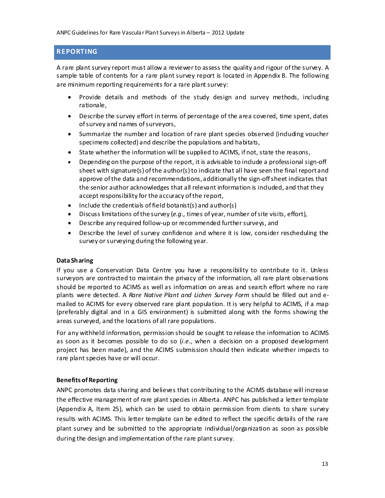# <span id="page-15-0"></span>**REPORTING**

A rare plant survey report must allow a reviewer to assess the quality and rigour of the survey. A sample table of contents for a rare plant survey report is located in Appendix B. The following are minimum reporting requirements for a rare plant survey:

- Provide details and methods of the study design and survey methods, including rationale,
- Describe the survey effort in terms of percentage of the area covered, time spent, dates ofsurvey and names of surveyors,
- Summarize the number and location of rare plant species observed (including voucher specimens collected) and describe the populations and habitats,
- State whether the information will be supplied to ACIMS, if not, state the reasons,
- Depending on the purpose of the report, it is advisable to include a professional sign-off sheet with signature(s) of the author(s) to indicate that all have seen the final report and approve of the data and recommendations,additionally the sign-off sheet indicates that the senior author acknowledges that all relevant information is included, and that they accept responsibility for the accuracy of the report,
- $\bullet$  Include the credentials of field botanist(s) and author(s)
- Discuss limitations of the survey (*e.g.,* times of year, number of site visits, effort),
- Describe any required follow-up or recommended further surveys, and
- Describe the level of survey confidence and where it is low, consider rescheduling the survey or surveying during the following year.

#### **Data Sharing**

If you use a Conservation Data Centre you have a responsibility to contribute to it. Unless surveyors are contracted to maintain the privacy of the information, all rare plant observations should be reported to ACIMS as well as information on areas and search effort where no rare plants were detected. A *Rare Native Plant and Lichen Survey Form* should be filled out and emailed to ACIMS for every observed rare plant population. It is very helpful to ACIMS, if a map (preferably digital and in a GIS environment) is submitted along with the forms showing the areas surveyed, and the locations of all rare populations.

For any withheld information, permission should be sought to release the information to ACIMS as soon as it becomes possible to do so (*i.e*., when a decision on a proposed development project has been made), and the ACIMS submission should then indicate whether impacts to rare plant species have or will occur.

#### **Benefits of Reporting**

ANPC promotes data sharing and believes that contributing to the ACIMS database will increase the effective management of rare plant species in Alberta. ANPC has published a letter template (Appendix A, Item 25), which can be used to obtain permission from clients to share survey results with ACIMS. This letter template can be edited to reflect the specific details of the rare plant survey and be submitted to the appropriate individual/organization as soon as possible during the design and implementation of the rare plant survey.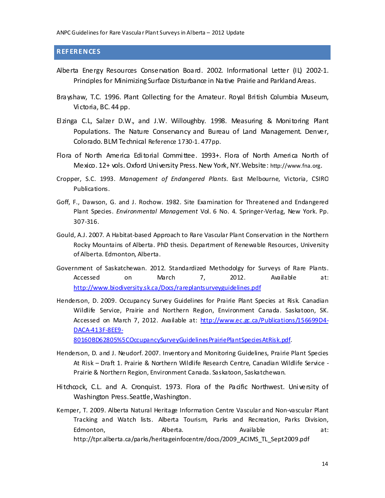## <span id="page-16-0"></span>**REF ERENCES**

- Alberta Energy Resources Conservation Board. 2002. Informational Letter (IL) 2002-1. Principles for MinimizingSurface Disturbance in Native Prairie and Parkland Areas.
- Brayshaw, T.C. 1996. Plant Collecting for the Amateur. Royal British Columbia Museum, Victoria, BC. 44 pp.
- Elzinga C.L, Salzer D.W., and J.W. Willoughby. 1998. Measuring & Monitoring Plant Populations. The Nature Conservancy and Bureau of Land Management. Denver, Colorado. BLM Technical Reference 1730-1. 477pp.
- Flora of North America Editorial Committee. 1993+. Flora of North America North of Mexico. 12+ vols. Oxford University Press. New York, NY.Website: [http://www.fna.org](http://www.fna.org/).
- Cropper, S.C. 1993. *Management of Endangered Plants*. East Melbourne, Victoria, CSIRO Publications.
- Goff, F., Dawson, G. and J. Rochow. 1982. Site Examination for Threatened and Endangered Plant Species. *Environmental Management* Vol. 6 No. 4. Springer-Verlag, New York. Pp. 307-316.
- Gould, A.J. 2007. A Habitat-based Approach to Rare Vascular Plant Conservation in the Northern Rocky Mountains of Alberta. PhD thesis. Department of Renewable Resources, University of Alberta. Edmonton, Alberta.
- Government of Saskatchewan. 2012. Standardized Methodolgy for Surveys of Rare Plants. Accessed on March 7, 2012. Available at: <http://www.biodiversity.sk.ca/Docs/rareplantsurveyguidelines.pdf>
- Henderson, D. 2009. Occupancy Survey Guidelines for Prairie Plant Species at Risk. Canadian Wildlife Service, Prairie and Northern Region, Environment Canada. Saskatoon, SK. Accessed on March 7, 2012. Available at: [http://www.ec.gc.ca/Publications/156699D4-](http://www.ec.gc.ca/Publications/156699D4-DACA-413F-8EE9-80160BD62805%5COccupancySurveyGuidelinesPrairiePlantSpeciesAtRisk.pdf) [DACA-413F-8EE9-](http://www.ec.gc.ca/Publications/156699D4-DACA-413F-8EE9-80160BD62805%5COccupancySurveyGuidelinesPrairiePlantSpeciesAtRisk.pdf)

[80160BD62805%5COccupancySurveyGuidelinesPrairiePlantSpeciesAtRisk.pdf](http://www.ec.gc.ca/Publications/156699D4-DACA-413F-8EE9-80160BD62805%5COccupancySurveyGuidelinesPrairiePlantSpeciesAtRisk.pdf).

- Henderson, D. and J. Neudorf. 2007. Inventory and Monitoring Guidelines, Prairie Plant Species At Risk – Draft 1. Prairie & Northern Wildlife Research Centre, Canadian Wildlife Service - Prairie & Northern Region, Environment Canada. Saskatoon, Saskatchewan.
- Hitchcock, C.L. and A. Cronquist. 1973. Flora of the Pacific Northwest. University of Washington Press.Seattle,Washington.
- Kemper, T. 2009. Alberta Natural Heritage Information Centre Vascular and Non-vascular Plant Tracking and Watch lists. Alberta Tourism, Parks and Recreation, Parks Division, Edmonton, and Alberta. Available at: http://tpr.alberta.ca/parks/heritageinfocentre/docs/2009\_ACIMS\_TL\_Sept2009.pdf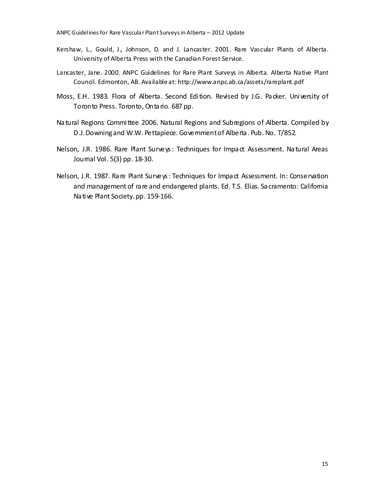- Kershaw, L., Gould, J., Johnson, D. and J. Lancaster. 2001. Rare Vascular Plants of Alberta. University of Alberta Press with the Canadian Forest Service.
- Lancaster, Jane. 2000. ANPC Guidelines for Rare Plant Surveys in Alberta. Alberta Native Plant Council. Edmonton, AB. Available at: http://www.anpc.ab.ca/assets/rareplant.pdf
- Moss, E.H. 1983. Flora of Alberta. Second Edition. Revised by J.G. Packer. University of Toronto Press. Toronto, Ontario. 687 pp.
- Natural Regions Committee 2006. Natural Regions and Subregions of Alberta. Compiled by D.J.Downingand W.W. Pettapiece. Governmentof Alberta. Pub. No. T/852.
- Nelson, J.R. 1986. Rare Plant Surveys: Techniques for Impact Assessment. Natural Areas Journal Vol. 5(3) pp. 18-30.
- Nelson, J.R. 1987. Rare Plant Surveys: Techniques for Impact Assessment. In: Conservation and management of rare and endangered plants. Ed. T.S. Elias. Sacramento: California Native Plant Society. pp. 159-166.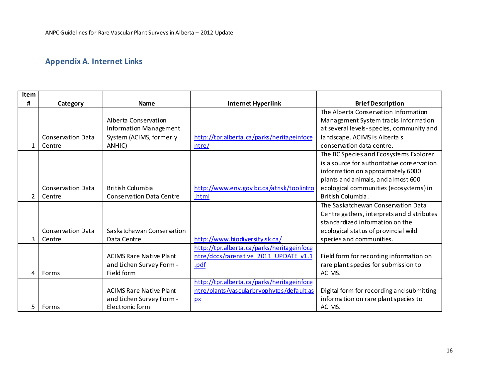# **Appendix A. Internet Links**

<span id="page-18-0"></span>

| <b>Item</b>    |                          |                                 |                                            |                                            |
|----------------|--------------------------|---------------------------------|--------------------------------------------|--------------------------------------------|
| Ħ              | Category                 | <b>Name</b>                     | <b>Internet Hyperlink</b>                  | <b>Brief Description</b>                   |
|                |                          |                                 |                                            | The Alberta Conservation Information       |
|                |                          | Alberta Conservation            |                                            | Management System tracks information       |
|                |                          | Information Management          |                                            | at several levels-species, community and   |
|                | <b>Conservation Data</b> | System (ACIMS, formerly         | http://tpr.alberta.ca/parks/heritageinfoce | landscape. ACIMS is Alberta's              |
|                | Centre                   | ANHIC)                          | $n$ tre/                                   | conservation data centre.                  |
|                |                          |                                 |                                            | The BC Species and Ecosystems Explorer     |
|                |                          |                                 |                                            | is a source for authoritative conservation |
|                |                          |                                 |                                            | information on approximately 6000          |
|                |                          |                                 |                                            | plants and animals, and almost 600         |
|                | <b>Conservation Data</b> | <b>British Columbia</b>         | http://www.env.gov.bc.ca/atrisk/toolintro  | ecological communities (ecosystems) in     |
| $\overline{2}$ | Centre                   | <b>Conservation Data Centre</b> | .html                                      | British Columbia.                          |
|                |                          |                                 |                                            | The Saskatchewan Conservation Data         |
|                |                          |                                 |                                            | Centre gathers, interprets and distributes |
|                |                          |                                 |                                            | standardized information on the            |
|                | <b>Conservation Data</b> | Saskatchewan Conservation       |                                            | ecological status of provincial wild       |
| 3              | Centre                   | Data Centre                     | http://www.biodiversity.sk.ca/             | species and communities.                   |
|                |                          |                                 | http://tpr.alberta.ca/parks/heritageinfoce |                                            |
|                |                          | <b>ACIMS Rare Native Plant</b>  | ntre/docs/rarenative 2011 UPDATE v1.1      | Field form for recording information on    |
|                |                          | and Lichen Survey Form -        | .pdf                                       | rare plant species for submission to       |
| 4              | Forms                    | Field form                      |                                            | ACIMS.                                     |
|                |                          |                                 | http://tpr.alberta.ca/parks/heritageinfoce |                                            |
|                |                          | <b>ACIMS Rare Native Plant</b>  | ntre/plants/vascularbryophytes/default.as  | Digital form for recording and submitting  |
|                |                          | and Lichen Survey Form -        | $\mathbf{p}$                               | information on rare plant species to       |
| 5              | Forms                    | Electronic form                 |                                            | ACIMS.                                     |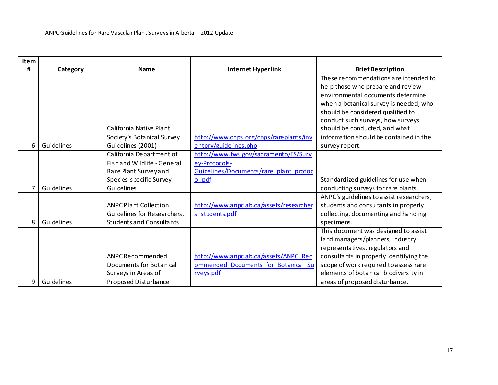| Item |            |                                                                                                                           |                                                                                                            |                                                                                                                                                                                                                                                                                                                                  |
|------|------------|---------------------------------------------------------------------------------------------------------------------------|------------------------------------------------------------------------------------------------------------|----------------------------------------------------------------------------------------------------------------------------------------------------------------------------------------------------------------------------------------------------------------------------------------------------------------------------------|
| Ħ    | Category   | <b>Name</b>                                                                                                               | <b>Internet Hyperlink</b>                                                                                  | <b>Brief Description</b>                                                                                                                                                                                                                                                                                                         |
| 6    | Guidelines | California Native Plant<br>Society's Botanical Survey<br>Guidelines (2001)                                                | http://www.cnps.org/cnps/rareplants/inv<br>entory/guidelines.php                                           | These recommendations are intended to<br>help those who prepare and review<br>environmental documents determine<br>when a botanical survey is needed, who<br>should be considered qualified to<br>conduct such surveys, how surveys<br>should be conducted, and what<br>information should be contained in the<br>survey report. |
|      | Guidelines | California Department of<br>Fish and Wildlife - General<br>Rare Plant Survey and<br>Species-specific Survey<br>Guidelines | http://www.fws.gov/sacramento/ES/Surv<br>ey-Protocols-<br>Guidelines/Documents/rare plant protoc<br>ol.pdf | Standardized guidelines for use when<br>conducting surveys for rare plants.                                                                                                                                                                                                                                                      |
| 8    | Guidelines | <b>ANPC Plant Collection</b><br>Guidelines for Researchers,<br><b>Students and Consultants</b>                            | http://www.anpc.ab.ca/assets/researcher<br>s students.pdf                                                  | ANPC's guidelines to assist researchers,<br>students and consultants in properly<br>collecting, documenting and handling<br>specimens.                                                                                                                                                                                           |
| 9    | Guidelines | ANPC Recommended<br>Documents for Botanical<br>Surveys in Areas of<br>Proposed Disturbance                                | http://www.anpc.ab.ca/assets/ANPC_Rec<br>ommended Documents for Botanical Su<br>rveys.pdf                  | This document was designed to assist<br>land managers/planners, industry<br>representatives, regulators and<br>consultants in properly identifying the<br>scope of work required to assess rare<br>elements of botanical biodiversity in<br>areas of proposed disturbance.                                                       |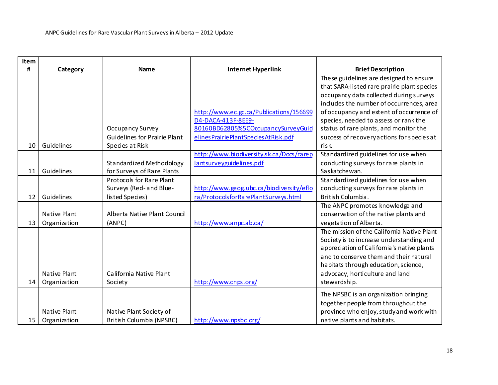| Item |              |                                     |                                          |                                             |
|------|--------------|-------------------------------------|------------------------------------------|---------------------------------------------|
| Ħ    | Category     | <b>Name</b>                         | <b>Internet Hyperlink</b>                | <b>Brief Description</b>                    |
|      |              |                                     |                                          | These guidelines are designed to ensure     |
|      |              |                                     |                                          | that SARA-listed rare prairie plant species |
|      |              |                                     |                                          | occupancy data collected during surveys     |
|      |              |                                     |                                          | includes the number of occurrences, area    |
|      |              |                                     | http://www.ec.gc.ca/Publications/156699  | of occupancy and extent of occurrence of    |
|      |              |                                     | D4-DACA-413F-8EE9-                       | species, needed to assess or rank the       |
|      |              | Occupancy Survey                    | 80160BD62805%5COccupancySurveyGuid       | status of rare plants, and monitor the      |
|      |              | <b>Guidelines for Prairie Plant</b> | elines Prairie Plant Species At Risk.pdf | success of recovery actions for species at  |
| 10   | Guidelines   | Species at Risk                     |                                          | risk.                                       |
|      |              |                                     | http://www.biodiversity.sk.ca/Docs/rarep | Standardized guidelines for use when        |
|      |              | Standardized Methodology            | lantsurveyguidelines.pdf                 | conducting surveys for rare plants in       |
| 11   | Guidelines   | for Surveys of Rare Plants          |                                          | Saskatchewan.                               |
|      |              | <b>Protocols for Rare Plant</b>     |                                          | Standardized guidelines for use when        |
|      |              | Surveys (Red-and Blue-              | http://www.geog.ubc.ca/biodiversity/eflo | conducting surveys for rare plants in       |
| 12   | Guidelines   | listed Species)                     | ra/ProtocolsforRarePlantSurveys.html     | British Columbia.                           |
|      |              |                                     |                                          | The ANPC promotes knowledge and             |
|      | Native Plant | Alberta Native Plant Council        |                                          | conservation of the native plants and       |
| 13   | Organization | (ANPC)                              | http://www.anpc.ab.ca/                   | vegetation of Alberta.                      |
|      |              |                                     |                                          | The mission of the California Native Plant  |
|      |              |                                     |                                          | Society is to increase understanding and    |
|      |              |                                     |                                          | appreciation of California's native plants  |
|      |              |                                     |                                          | and to conserve them and their natural      |
|      |              |                                     |                                          | habitats through education, science,        |
|      | Native Plant | California Native Plant             |                                          | advocacy, horticulture and land             |
| 14   | Organization | Society                             | http://www.cnps.org/                     | stewardship.                                |
|      |              |                                     |                                          | The NPSBC is an organization bringing       |
|      |              |                                     |                                          | together people from throughout the         |
|      | Native Plant | Native Plant Society of             |                                          | province who enjoy, study and work with     |
| 15   | Organization | British Columbia (NPSBC)            | http://www.npsbc.org/                    | native plants and habitats.                 |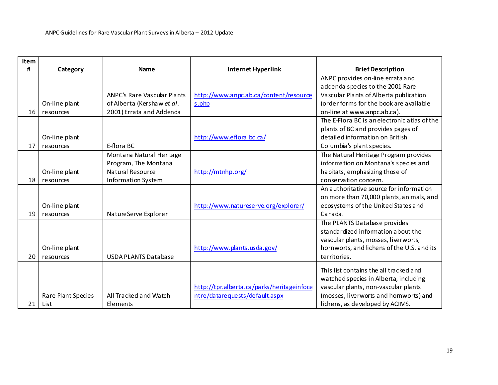| Item |                    |                                    |                                            |                                              |
|------|--------------------|------------------------------------|--------------------------------------------|----------------------------------------------|
| Ħ    | Category           | <b>Name</b>                        | <b>Internet Hyperlink</b>                  | <b>Brief Description</b>                     |
|      |                    |                                    |                                            | ANPC provides on-line errata and             |
|      |                    |                                    |                                            | addenda species to the 2001 Rare             |
|      |                    | <b>ANPC's Rare Vascular Plants</b> | http://www.anpc.ab.ca/content/resource     | Vascular Plants of Alberta publication       |
|      | On-line plant      | of Alberta (Kershaw et al.         | s.php                                      | (order forms for the book are available      |
| 16   | resources          | 2001) Errata and Addenda           |                                            | on-line at www.anpc.ab.ca).                  |
|      |                    |                                    |                                            | The E-Flora BC is an electronic atlas of the |
|      |                    |                                    |                                            | plants of BC and provides pages of           |
|      | On-line plant      |                                    | http://www.eflora.bc.ca/                   | detailed information on British              |
| 17   | resources          | E-flora BC                         |                                            | Columbia's plant species.                    |
|      |                    | Montana Natural Heritage           |                                            | The Natural Heritage Program provides        |
|      |                    | Program, The Montana               |                                            | information on Montana's species and         |
|      | On-line plant      | Natural Resource                   | http://mtnhp.org/                          | habitats, emphasizing those of               |
| 18   | resources          | Information System                 |                                            | conservation concern.                        |
|      |                    |                                    |                                            | An authoritative source for information      |
|      |                    |                                    |                                            | on more than 70,000 plants, animals, and     |
|      | On-line plant      |                                    | http://www.natureserve.org/explorer/       | ecosystems of the United States and          |
| 19   | resources          | NatureServe Explorer               |                                            | Canada                                       |
|      |                    |                                    |                                            | The PLANTS Database provides                 |
|      |                    |                                    |                                            | standardized information about the           |
|      |                    |                                    |                                            | vascular plants, mosses, liverworts,         |
|      | On-line plant      |                                    | http://www.plants.usda.gov/                | hornworts, and lichens of the U.S. and its   |
| 20   | resources          | <b>USDA PLANTS Database</b>        |                                            | territories.                                 |
|      |                    |                                    |                                            | This list contains the all tracked and       |
|      |                    |                                    |                                            | watched species in Alberta, including        |
|      |                    |                                    | http://tpr.alberta.ca/parks/heritageinfoce | vascular plants, non-vascular plants         |
|      | Rare Plant Species | All Tracked and Watch              | ntre/datarequests/default.aspx             | (mosses, liverworts and homworts) and        |
| 21   | List               | Elements                           |                                            | lichens, as developed by ACIMS.              |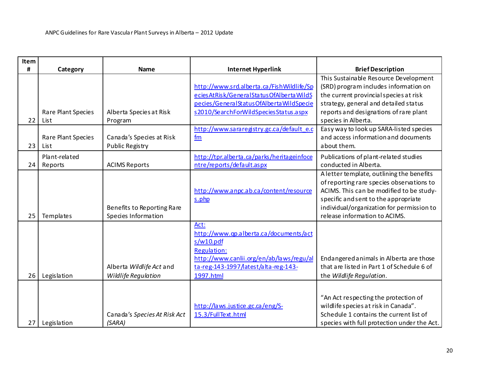| Item |                    |                              |                                               |                                             |
|------|--------------------|------------------------------|-----------------------------------------------|---------------------------------------------|
| #    | Category           | <b>Name</b>                  | <b>Internet Hyperlink</b>                     | <b>Brief Description</b>                    |
|      |                    |                              |                                               | This Sustainable Resource Development       |
|      |                    |                              | http://www.srd.alberta.ca/FishWildlife/Sp     | (SRD) program includes information on       |
|      |                    |                              | ecies At Risk/General Status Of Alberta WildS | the current provincial species at risk      |
|      |                    |                              | pecies/GeneralStatusOfAlbertaWildSpecie       | strategy, general and detailed status       |
|      | Rare Plant Species | Alberta Species at Risk      | s2010/SearchForWildSpeciesStatus.aspx         | reports and designations of rare plant      |
| 22   | List               | Program                      |                                               | species in Alberta.                         |
|      |                    |                              | http://www.sararegistry.gc.ca/defaulte.c      | Easy way to look up SARA-listed species     |
|      | Rare Plant Species | Canada's Species at Risk     | fm                                            | and access information and documents        |
| 23   | List               | <b>Public Registry</b>       |                                               | about them.                                 |
|      | Plant-related      |                              | http://tpr.alberta.ca/parks/heritageinfoce    | Publications of plant-related studies       |
| 24   | Reports            | <b>ACIMS Reports</b>         | ntre/reports/default.aspx                     | conducted in Alberta.                       |
|      |                    |                              |                                               | A letter template, outlining the benefits   |
|      |                    |                              |                                               | of reporting rare species observations to   |
|      |                    |                              | http://www.anpc.ab.ca/content/resource        | ACIMS. This can be modified to be study-    |
|      |                    |                              | s.php                                         | specific and sent to the appropriate        |
|      |                    | Benefits to Reporting Rare   |                                               | individual/organization for permission to   |
| 25   | Templates          | Species Information          |                                               | release information to ACIMS.               |
|      |                    |                              | Act:                                          |                                             |
|      |                    |                              | http://www.qp.alberta.ca/documents/act        |                                             |
|      |                    |                              | s/w10.pdf                                     |                                             |
|      |                    |                              | <b>Regulation:</b>                            |                                             |
|      |                    |                              | http://www.canlii.org/en/ab/laws/regu/al      | Endangered animals in Alberta are those     |
|      |                    | Alberta Wildlife Act and     | ta-reg-143-1997/latest/alta-reg-143-          | that are listed in Part 1 of Schedule 6 of  |
| 26   | Legislation        | Wildlife Regulation          | 1997.html                                     | the Wildlife Regulation.                    |
|      |                    |                              |                                               |                                             |
|      |                    |                              |                                               | "An Act respecting the protection of        |
|      |                    |                              | http://laws.justice.gc.ca/eng/S-              | wildlife species at risk in Canada".        |
|      |                    | Canada's Species At Risk Act | 15.3/FullText.html                            | Schedule 1 contains the current list of     |
| 27   | Legislation        | (SARA)                       |                                               | species with full protection under the Act. |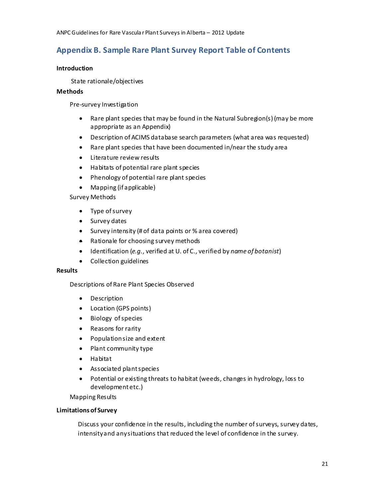# <span id="page-23-0"></span>**Appendix B. Sample Rare Plant Survey Report Table of Contents**

#### **Introduction**

State rationale/objectives

#### **Methods**

Pre-survey Investigation

- Rare plant species that may be found in the Natural Subregion(s) (may be more appropriate as an Appendix)
- Description of ACIMS database search parameters (what area was requested)
- Rare plant species that have been documented in/near the study area
- Literature review results
- Habitats of potential rare plant species
- Phenology of potential rare plant species
- Mapping (if applicable)

Survey Methods

- Type of survey
- Survey dates
- Survey intensity (# of data points or % area covered)
- Rationale for choosing survey methods
- Identification (*e.g.*, verified at U. of C., verified by *name of botanist*)
- Collection guidelines

#### **Results**

Descriptions of Rare Plant Species Observed

- Description
- Location (GPS points)
- Biology of species
- Reasons for rarity
- Populationsize and extent
- Plant community type
- Habitat
- Associated plant species
- Potential or existing threats to habitat (weeds, changes in hydrology, loss to development etc.)

Mapping Results

#### **Limitations of Survey**

Discuss your confidence in the results, including the number of surveys, survey dates, intensityand anysituations that reduced the level of confidence in the survey.